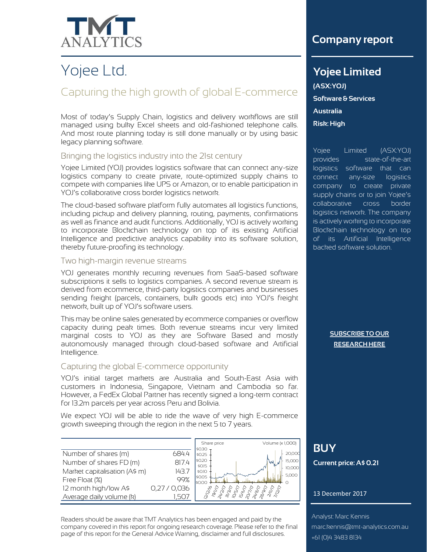

# Yojee Ltd.

# Capturing the high growth of global E-commerce

Most of today's Supply Chain, logistics and delivery workflows are still managed using bulky Excel sheets and old-fashioned telephone calls. And most route planning today is still done manually or by using basic legacy planning software.

### Bringing the logistics industry into the 21st century

Yojee Limited (YOJ) provides logistics software that can connect any-size logistics company to create private, route-optimized supply chains to compete with companies like UPS or Amazon, or to enable participation in YOJ's collaborative cross border logistics network.

The cloud-based software platform fully automates all logistics functions, including pickup and delivery planning, routing, payments, confirmations as well as finance and audit functions. Additionally, YOJ is actively working to incorporate Blockchain technology on top of its existing Artificial Intelligence and predictive analytics capability into its software solution, thereby future-proofing its technology.

#### Two high-margin revenue streams

YOJ generates monthly recurring revenues from SaaS-based software subscriptions it sells to logistics companies. A second revenue stream is derived from ecommerce, third-party logistics companies and businesses sending freight (parcels, containers, bulk goods etc) into YOJ's freight network, built up of YOJ's software users.

This may be online sales generated by ecommerce companies or overflow capacity during peak times. Both revenue streams incur very limited marginal costs to YOJ as they are Software Based and mostly autonomously managed through cloud-based software and Artificial Intelligence.

### Capturing the global E-commerce opportunity

YOJ's initial target markets are Australia and South-East Asia with customers in Indonesia, Singapore, Vietnam and Cambodia so far. However, a FedEx Global Partner has recently signed a long-term contract for 13.2m parcels per year across Peru and Bolivia.

We expect YOJ will be able to ride the wave of very high E-commerce growth sweeping through the region in the next 5 to 7 years.

|                               |                | Share price      | Volume (x 1,000) |
|-------------------------------|----------------|------------------|------------------|
| Number of shares (m)          | 6844           | \$0.30<br>\$025  | 20,000           |
| Number of shares FD (m)       | 817.4          | \$0.20<br>\$0.15 | 15,000<br>wу     |
| Market capitalisation (A\$ m) | 143.7          | \$0.10           | 10,000<br>5,000  |
| Free Float (%)                | 99%            | \$0.05<br>IsOOO  |                  |
| 12 month high/low A\$         | 0.27/<br>0.036 |                  |                  |
| Average daily volume (k)      |                |                  |                  |

Readers should be aware that TMT Analytics has been engaged and paid by the company covered in this report for ongoing research coverage. Please refer to the final page of this report for the General Advice Warning, disclaimer and full disclosures.

### **Company report**

 $\mathcal{L}_{\text{max}}$  is a semi-conductor of  $\mathcal{L}_{\text{max}}$ 

### **Yojee Limited**

**(ASX:YOJ)** recommendation that any **Software & Services a**<br>**appropriate to your particular particular to your particular particular to your particular to your particular Risk: High** $s$  **and particular needs.** does not purport to make any investment objectives, financial control of the control of the control of the control of the control of the co

Yojee Limited (ASX:YOJ) provides state-of-the-art logistics software that can connect any-size logistics company to create private supply chains or to join Yojee's collaborative cross border logistics network. The company is actively working to incorporate Blockchain technology on top of its Artificial Intelligence backed software solution.

> **[SUBSCRIBE TO OUR](http://www.tmt-analytics.com.au/research) [RESEARCH HERE](http://www.tmt-analytics.com.au/research)**

## **XXX BUY Current price: A\$ 0.xxx Current price: A\$ 0.21**

#### 13 December 2017

Analyst: Marc Kennis Analyst: Marc Kennis marc.kennis@tmt-analytics.com.au marc.kennis@tmt-analytics.com.au +61 (0)4 3483 8134 +61 (0)4 3483 8134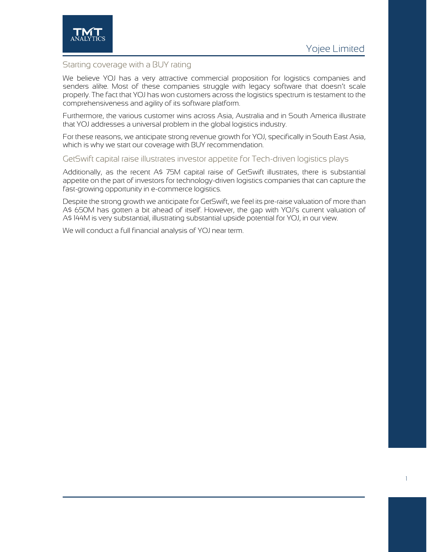

### Starting coverage with a BUY rating

We believe YOJ has a very attractive commercial proposition for logistics companies and senders alike. Most of these companies struggle with legacy software that doesn't scale properly. The fact that YOJ has won customers across the logistics spectrum is testament to the comprehensiveness and agility of its software platform.

Furthermore, the various customer wins across Asia, Australia and in South America illustrate that YOJ addresses a universal problem in the global logistics industry.

For these reasons, we anticipate strong revenue growth for YOJ, specifically in South East Asia, which is why we start our coverage with BUY recommendation.

#### GetSwift capital raise illustrates investor appetite for Tech-driven logistics plays

Additionally, as the recent A\$ 75M capital raise of GetSwift illustrates, there is substantial appetite on the part of investors for technology-driven logistics companies that can capture the fast-growing opportunity in e-commerce logistics.

Despite the strong growth we anticipate for GetSwift, we feel its pre-raise valuation of more than A\$ 650M has gotten a bit ahead of itself. However, the gap with YOJ's current valuation of A\$ 144M is very substantial, illustrating substantial upside potential for YOJ, in our view.

We will conduct a full financial analysis of YOJ near term.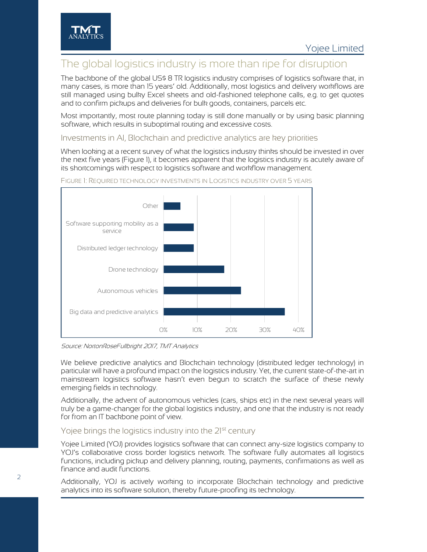### The global logistics industry is more than ripe for disruption

The backbone of the global US\$ 8 TR logistics industry comprises of logistics software that, in many cases, is more than 15 years' old. Additionally, most logistics and delivery workflows are still managed using bulky Excel sheets and old-fashioned telephone calls, e.g. to get quotes and to confirm pickups and deliveries for bulk goods, containers, parcels etc.

Most importantly, most route planning today is still done manually or by using basic planning software, which results in suboptimal routing and excessive costs.

Investments in AI, Blockchain and predictive analytics are key priorities

When looking at a recent survey of what the logistics industry thinks should be invested in over the next five years [\(Figure 1\),](#page-2-0) it becomes apparent that the logistics industry is acutely aware of its shortcomings with respect to logistics software and workflow management.



### <span id="page-2-0"></span>FIGURE 1: REQUIRED TECHNOLOGY INVESTMENTS IN LOGISTICS INDUSTRY OVER 5 YEARS

Source: NortonRoseFullbright 2017, TMT Analytics

We believe predictive analytics and Blockchain technology (distributed ledger technology) in particular will have a profound impact on the logistics industry. Yet, the current state-of-the-art in mainstream logistics software hasn't even begun to scratch the surface of these newly emerging fields in technology.

Additionally, the advent of autonomous vehicles (cars, ships etc) in the next several years will truly be a game-changer for the global logistics industry, and one that the industry is not ready for from an IT backbone point of view.

### Yojee brings the logistics industry into the 21<sup>st</sup> century

Yojee Limited (YOJ) provides logistics software that can connect any-size logistics company to YOJ's collaborative cross border logistics network. The software fully automates all logistics functions, including pickup and delivery planning, routing, payments, confirmations as well as finance and audit functions.

Additionally, YOJ is actively working to incorporate Blockchain technology and predictive analytics into its software solution, thereby future-proofing its technology.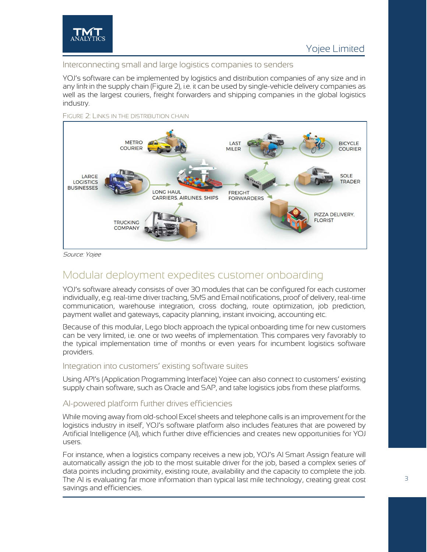

### Interconnecting small and large logistics companies to senders

YOJ's software can be implemented by logistics and distribution companies of any size and in any link in the supply chain [\(Figure 2\)](#page-3-0), i.e. it can be used by single-vehicle delivery companies as well as the largest couriers, freight forwarders and shipping companies in the global logistics industry.



<span id="page-3-0"></span>FIGURE 2: LINKS IN THE DISTRIBUTION CHAIN

Source: Yojee

### Modular deployment expedites customer onboarding

YOJ's software already consists of over 30 modules that can be configured for each customer individually, e.g. real-time driver tracking, SMS and Email notifications, proof of delivery, real-time communication, warehouse integration, cross docking, route optimization, job prediction, payment wallet and gateways, capacity planning, instant invoicing, accounting etc.

Because of this modular, Lego block approach the typical onboarding time for new customers can be very limited, i.e. one or two weeks of implementation. This compares very favorably to the typical implementation time of months or even years for incumbent logistics software providers.

### Integration into customers' existing software suites

Using API's (Application Programming Interface) Yojee can also connect to customers' existing supply chain software, such as Oracle and SAP, and take logistics jobs from these platforms.

### AI-powered platform further drives efficiencies

While moving away from old-school Excel sheets and telephone calls is an improvement for the logistics industry in itself, YOJ's software platform also includes features that are powered by Artificial Intelligence (AI), which further drive efficiencies and creates new opportunities for YOJ users.

For instance, when a logistics company receives a new job, YOJ's AI Smart Assign feature will automatically assign the job to the most suitable driver for the job, based a complex series of data points including proximity, existing route, availability and the capacity to complete the job. The AI is evaluating far more information than typical last mile technology, creating great cost savings and efficiencies.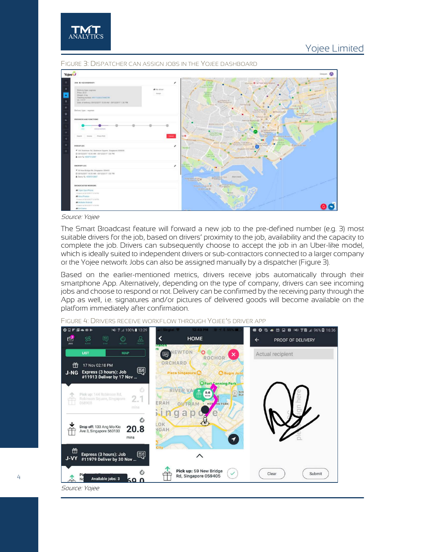



#### <span id="page-4-0"></span>FIGURE 3: DISPATCHER CAN ASSIGN JOBS IN THE YOJEE DASHBOARD

Source: Yojee

The Smart Broadcast feature will forward a new job to the pre-defined number (e.g. 3) most suitable drivers for the job, based on drivers' proximity to the job, availability and the capacity to complete the job. Drivers can subsequently choose to accept the job in an Uber-like model, which is ideally suited to independent drivers or sub-contractors connected to a larger company or the Yojee network. Jobs can also be assigned manually by a dispatcher [\(Figure 3\)](#page-4-0).

Based on the earlier-mentioned metrics, drivers receive jobs automatically through their smartphone App. Alternatively, depending on the type of company, drivers can see incoming jobs and choose to respond or not. Delivery can be confirmed by the receiving party through the App as well, i.e. signatures and/or pictures of delivered goods will become available on the platform immediately after confirmation.

FIGURE 4: DRIVERS RECEIVE WORKFLOW THROUGH YOJEE'S DRIVER APP

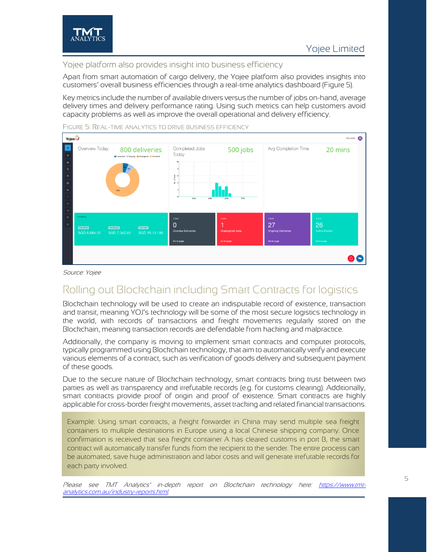

### Yojee platform also provides insight into business efficiency

Apart from smart automation of cargo delivery, the Yojee platform also provides insights into customers' overall business efficiencies through a real-time analytics dashboard [\(Figure 5\)](#page-5-0).

Key metrics include the number of available drivers versus the number of jobs on-hand, average delivery times and delivery performance rating. Using such metrics can help customers avoid capacity problems as well as improve the overall operational and delivery efficiency.



<span id="page-5-0"></span>FIGURE 5: REAL-TIME ANALYTICS TO DRIVE BUSINESS EFFICIENCY

Source: Yojee

# Rolling out Blockchain including Smart Contracts for logistics

Blockchain technology will be used to create an indisputable record of existence, transaction and transit, meaning YOJ's technology will be some of the most secure logistics technology in the world, with records of transactions and freight movements regularly stored on the Blockchain, meaning transaction records are defendable from hacking and malpractice.

Additionally, the company is moving to implement smart contracts and computer protocols, typically programmed using Blockchain technology, that aim to automatically verify and execute various elements of a contract, such as verification of goods delivery and subsequent payment of these goods.

Due to the secure nature of Blockchain technology, smart contracts bring trust between two parties as well as transparency and irrefutable records (e.g. for customs clearing). Additionally, smart contracts provide proof of origin and proof of existence. Smart contracts are highly applicable for cross-border freight movements, asset tracking and related financial transactions.

Example: Using smart contracts, a freight forwarder in China may send multiple sea freight containers to multiple destinations in Europe using a local Chinese shipping company. Once confirmation is received that sea freight container A has cleared customs in port B, the smart contract will automatically transfer funds from the recipient to the sender. The entire process can be automated, save huge administration and labor costs and will generate irrefutable records for each party involved.

Please see TMT Analytics' in-depth report on Blockchain technology here: [https://www.tmt](https://www.tmt-analytics.com.au/industry-reports.html)[analytics.com.au/industry-reports.html.](https://www.tmt-analytics.com.au/industry-reports.html)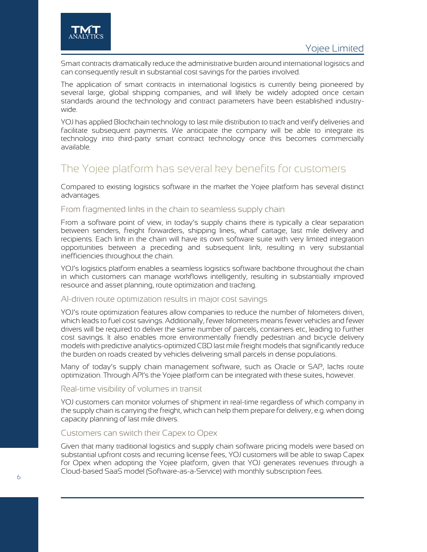Smart contracts dramatically reduce the administrative burden around international logistics and can consequently result in substantial cost savings for the parties involved.

The application of smart contracts in international logistics is currently being pioneered by several large, global shipping companies, and will likely be widely adopted once certain standards around the technology and contract parameters have been established industrywide.

YOJ has applied Blockchain technology to last mile distribution to track and verify deliveries and facilitate subsequent payments. We anticipate the company will be able to integrate its technology into third-party smart contract technology once this becomes commercially available.

## The Yojee platform has several key benefits for customers

Compared to existing logistics software in the market the Yojee platform has several distinct advantages.

### From fragmented links in the chain to seamless supply chain

From a software point of view, in today's supply chains there is typically a clear separation between senders, freight forwarders, shipping lines, wharf cartage, last mile delivery and recipients. Each link in the chain will have its own software suite with very limited integration opportunities between a preceding and subsequent link, resulting in very substantial inefficiencies throughout the chain.

YOJ's logistics platform enables a seamless logistics software backbone throughout the chain in which customers can manage workflows intelligently, resulting in substantially improved resource and asset planning, route optimization and tracking.

### AI-driven route optimization results in major cost savings

YOJ's route optimization features allow companies to reduce the number of kilometers driven, which leads to fuel cost savings. Additionally, fewer kilometers means fewer vehicles and fewer drivers will be required to deliver the same number of parcels, containers etc, leading to further cost savings. It also enables more environmentally friendly pedestrian and bicycle delivery models with predictive analytics-optimized CBD last mile freight models that significantly reduce the burden on roads created by vehicles delivering small parcels in dense populations.

Many of today's supply chain management software, such as Oracle or SAP, lacks route optimization. Through API's the Yojee platform can be integrated with these suites, however.

### Real-time visibility of volumes in transit

YOJ customers can monitor volumes of shipment in real-time regardless of which company in the supply chain is carrying the freight, which can help them prepare for delivery, e.g. when doing capacity planning of last mile drivers.

### Customers can switch their Capex to Opex

Given that many traditional logistics and supply chain software pricing models were based on substantial upfront costs and recurring license fees, YOJ customers will be able to swap Capex for Opex when adopting the Yojee platform, given that YOJ generates revenues through a Cloud-based SaaS model (Software-as-a-Service) with monthly subscription fees.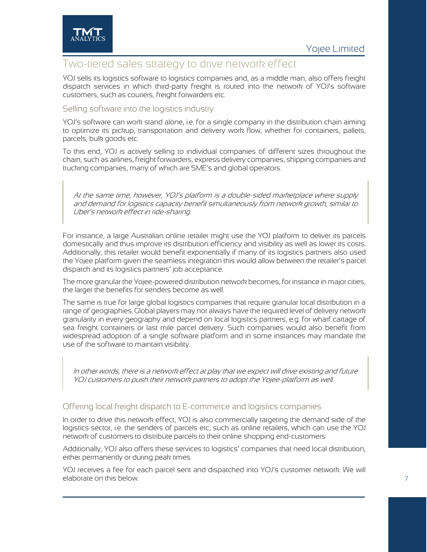

### Two-tiered sales strategy to drive network effect

YOJ sells its logistics software to logistics companies and, as a middle man, also offers freight dispatch services in which third-party freight is routed into the network of YOJ's software customers, such as couriers, freight forwarders etc.

### Selling software into the logistics industry

YOJ's software can work stand alone, i.e. for a single company in the distribution chain aiming to optimize its pickup, transportation and delivery work flow, whether for containers, pallets, parcels, bulk goods etc.

To this end, YOJ is actively selling to individual companies of different sizes throughout the chain, such as airlines, freight forwarders, express delivery companies, shipping companies and trucking companies, many of which are SME's and global operators.

At the same time, however, YOJ's platform is a double-sided marketplace where supply and demand for logistics capacity benefit simultaneously from network growth, similar to Uber's network effect in ride-sharing.

For instance, a large Australian online retailer might use the YOJ platform to deliver its parcels domestically and thus improve its distribution efficiency and visibility as well as lower its costs. Additionally, this retailer would benefit exponentially if many of its logistics partners also used the Yojee platform given the seamless integration this would allow between the retailer's parcel dispatch and its logistics partners' job acceptance.

The more granular the Yojee-powered distribution network becomes, for instance in major cities, the larger the benefits for senders become as well.

The same is true for large global logistics companies that require granular local distribution in a range of geographies. Global players may not always have the required level of delivery network granularity in every geography and depend on local logistics partners, e.g. for wharf cartage of sea freight containers or last mile parcel delivery. Such companies would also benefit from widespread adoption of a single software platform and in some instances may mandate the use of the software to maintain visibility.

In other words, there is a network effect at play that we expect will drive existing and future YOJ customers to push their network partners to adopt the Yojee-platform as well.

### Offering local freight dispatch to E-commerce and logistics companies

In order to drive this network effect, YOJ is also commercially targeting the demand side of the logistics sector, i.e. the senders of parcels etc, such as online retailers, which can use the YOJ network of customers to distribute parcels to their online shopping end-customers.

Additionally, YOJ also offers these services to logistics' companies that need local distribution, either permanently or during peak times.

YOJ receives a fee for each parcel sent and dispatched into YOJ's customer network. We will elaborate on this below.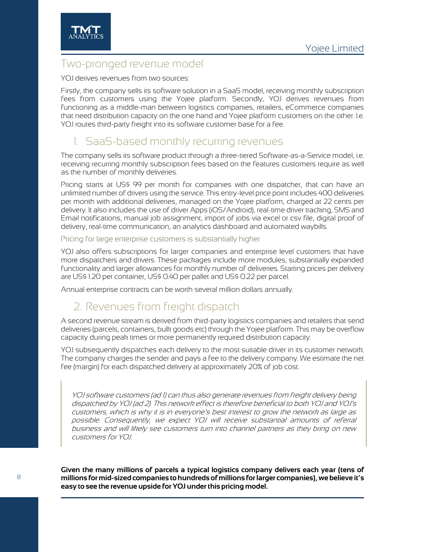

### Two-pronged revenue model

YOJ derives revenues from two sources:

Firstly, the company sells its software solution in a SaaS model, receiving monthly subscription fees from customers using the Yojee platform. Secondly, YOJ derives revenues from functioning as a middle-man between logistics companies, retailers, eCommerce companies that need distribution capacity on the one hand and Yojee platform customers on the other. I.e. YOJ routes third-party freight into its software customer base for a fee.

# 1. SaaS-based monthly recurring revenues

The company sells its software product through a three-tiered Software-as-a-Service model, i.e. receiving recurring monthly subscription fees based on the features customers require as well as the number of monthly deliveries.

Pricing starts at US\$ 99 per month for companies with one dispatcher, that can have an unlimited number of drivers using the service. This entry-level price point includes 400 deliveries per month with additional deliveries, managed on the Yojee platform, charged at 22 cents per delivery. It also includes the use of driver Apps (iOS/Android), real-time driver tracking, SMS and Email notifications, manual job assignment, import of jobs via excel or csv file, digital proof of delivery, real-time communication, an analytics dashboard and automated waybills.

Pricing for large enterprise customers is substantially higher

YOJ also offers subscriptions for larger companies and enterprise level customers that have more dispatchers and drivers. These packages include more modules, substantially expanded functionality and larger allowances for monthly number of deliveries. Starting prices per delivery are US\$ 1.20 per container, US\$ 0.40 per pallet and US\$ 0.22 per parcel.

Annual enterprise contracts can be worth several million dollars annually.

# 2. Revenues from freight dispatch

A second revenue stream is derived from third-party logistics companies and retailers that send deliveries (parcels, containers, bulk goods etc) through the Yojee platform. This may be overflow capacity during peak times or more permanently required distribution capacity.

YOJ subsequently dispatches each delivery to the most suitable driver in its customer network. The company charges the sender and pays a fee to the delivery company. We estimate the net fee (margin) for each dispatched delivery at approximately 20% of job cost.

YOJ software customers (ad 1) can thus also generate revenues from freight delivery being dispatched by YOJ (ad 2). This network effect is therefore beneficial to both YOJ and YOJ's customers, which is why it is in everyone's best interest to grow the network as large as possible. Consequently, we expect YOJ will receive substantial amounts of referral business and will likely see customers turn into channel partners as they bring on new customers for YOJ.

**Given the many millions of parcels a typical logistics company delivers each year (tens of millions for mid-sized companies to hundreds of millions for larger companies), we believe it's easy to see the revenue upside for YOJ under this pricing model.**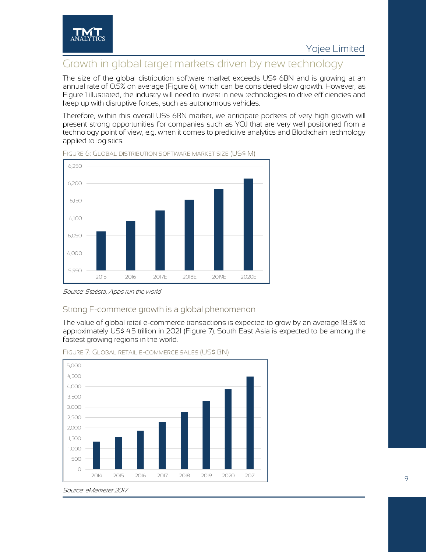

### Growth in global target markets driven by new technology

The size of the global distribution software market exceeds US\$ 6BN and is growing at an annual rate of 0.5% on average [\(Figure 6\)](#page-9-0), which can be considered slow growth. However, as [Figure 1](#page-2-0) illustrated, the industry will need to invest in new technologies to drive efficiencies and keep up with disruptive forces, such as autonomous vehicles.

Therefore, within this overall US\$ 6BN market, we anticipate pockets of very high growth will present strong opportunities for companies such as YOJ that are very well positioned from a technology point of view, e.g. when it comes to predictive analytics and Blockchain technology applied to logistics.



<span id="page-9-0"></span>FIGURE 6: GLOBAL DISTRIBUTION SOFTWARE MARKET SIZE (US\$ M)

### Strong E-commerce growth is a global phenomenon

The value of global retail e-commerce transactions is expected to grow by an average 18.3% to approximately US\$ 4.5 trillion in 2021 [\(Figure 7\)](#page-9-1). South East Asia is expected to be among the fastest growing regions in the world.



<span id="page-9-1"></span>FIGURE 7: GLOBAL RETAIL E-COMMERCE SALES (US\$ BN)

Source: Statista, Apps run the world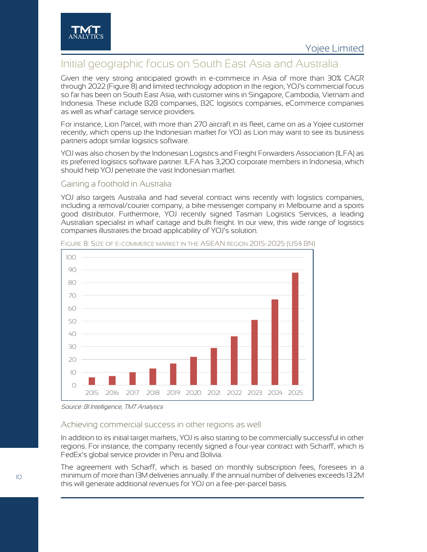

# Initial geographic focus on South East Asia and Australia

Given the very strong anticipated growth in e-commerce in Asia of more than 30% CAGR through 2022 [\(Figure 8\)](#page-10-0) and limited technology adoption in the region, YOJ's commercial focus so far has been on South East Asia, with customer wins in Singapore, Cambodia, Vietnam and Indonesia. These include B2B companies, B2C logistics companies, eCommerce companies as well as wharf cartage service providers.

For instance, Lion Parcel, with more than 270 aircraft in its fleet, came on as a Yojee customer recently, which opens up the Indonesian market for YOJ as Lion may want to see its business partners adopt similar logistics software.

YOJ was also chosen by the Indonesian Logistics and Freight Forwarders Association (ILFA) as its preferred logistics software partner. ILFA has 3,200 corporate members in Indonesia, which should help YOJ penetrate the vast Indonesian market.

### Gaining a foothold in Australia

YOJ also targets Australia and had several contract wins recently with logistics companies, including a removal/courier company, a bike messenger company in Melbourne and a sports good distributor. Furthermore, YOJ recently signed Tasman Logistics Services, a leading Australian specialist in wharf cartage and bulk freight. In our view, this wide range of logistics companies illustrates the broad applicability of YOJ's solution.



<span id="page-10-0"></span>FIGURE 8: SIZE OF E-COMMERCE MARKET IN THE ASEAN REGION 2015-2025 (US\$ BN)

### Achieving commercial success in other regions as well

In addition to its initial target markets, YOJ is also starting to be commercially successful in other regions. For instance, the company recently signed a four-year contract with Scharff, which is FedEx's global service provider in Peru and Bolivia.

The agreement with Scharff, which is based on monthly subscription fees, foresees in a minimum of more than 13M deliveries annually. If the annual number of deliveries exceeds 13.2M this will generate additional revenues for YOJ on a fee-per-parcel basis.

Source: BI Intelligence, TMT Analytics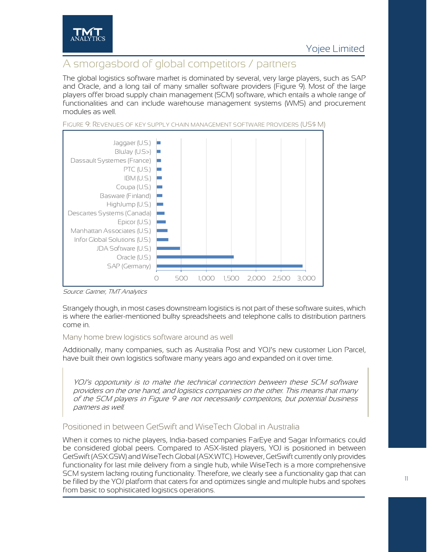

# A smorgasbord of global competitors / partners

The global logistics software market is dominated by several, very large players, such as SAP and Oracle, and a long tail of many smaller software providers [\(Figure 9\)](#page-11-0). Most of the large players offer broad supply chain management (SCM) software, which entails a whole range of functionalities and can include warehouse management systems (WMS) and procurement modules as well.



<span id="page-11-0"></span>FIGURE 9: REVENUES OF KEY SUPPLY CHAIN MANAGEMENT SOFTWARE PROVIDERS (US\$ M)

#### Source: Gartner, TMT Analytics

Strangely though, in most cases downstream logistics is not part of these software suites, which is where the earlier-mentioned bulky spreadsheets and telephone calls to distribution partners come in.

### Many home brew logistics software around as well

Additionally, many companies, such as Australia Post and YOJ's new customer Lion Parcel, have built their own logistics software many years ago and expanded on it over time.

YOJ's opportunity is to make the technical connection between these SCM software providers on the one hand, and logistics companies on the other. This means that many of the SCM players in [Figure 9](#page-11-0) are not necessarily competitors, but potential business partners as well.

### Positioned in between GetSwift and WiseTech Global in Australia

When it comes to niche players, India-based companies FarEye and Sagar Informatics could be considered global peers. Compared to ASX-listed players, YOJ is positioned in between GetSwift (ASX:GSW) and WiseTech Global (ASX:WTC). However, GetSwift currently only provides functionality for last mile delivery from a single hub, while WiseTech is a more comprehensive SCM system lacking routing functionality. Therefore, we clearly see a functionality gap that can be filled by the YOJ platform that caters for and optimizes single and multiple hubs and spokes from basic to sophisticated logistics operations.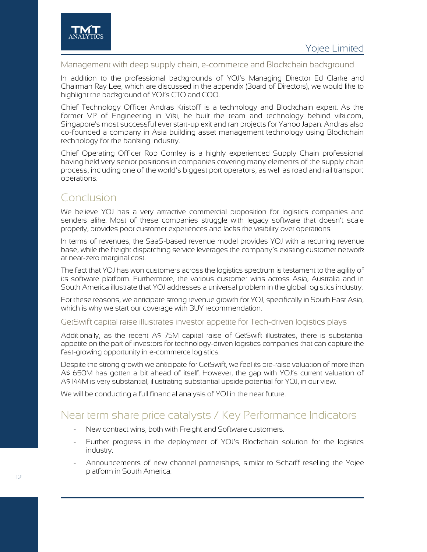

Management with deep supply chain, e-commerce and Blockchain background

In addition to the professional backgrounds of YOJ's Managing Director Ed Clarke and Chairman Ray Lee, which are discussed in the appendix (Board of Directors), we would like to highlight the background of YOJ's CTO and COO.

Chief Technology Officer Andras Kristoff is a technology and Blockchain expert. As the former VP of Engineering in Viki, he built the team and technology behind viki.com, Singapore's most successful ever start-up exit and ran projects for Yahoo Japan. Andras also co-founded a company in Asia building asset management technology using Blockchain technology for the banking industry.

Chief Operating Officer Rob Comley is a highly experienced Supply Chain professional having held very senior positions in companies covering many elements of the supply chain process, including one of the world's biggest port operators, as well as road and rail transport operations.

# Conclusion

We believe YOJ has a very attractive commercial proposition for logistics companies and senders alike. Most of these companies struggle with legacy software that doesn't scale properly, provides poor customer experiences and lacks the visibility over operations.

In terms of revenues, the SaaS-based revenue model provides YOJ with a recurring revenue base, while the freight dispatching service leverages the company's existing customer network at near-zero marginal cost.

The fact that YOJ has won customers across the logistics spectrum is testament to the agility of its software platform. Furthermore, the various customer wins across Asia, Australia and in South America illustrate that YOJ addresses a universal problem in the global logistics industry.

For these reasons, we anticipate strong revenue growth for YOJ, specifically in South East Asia, which is why we start our coverage with BUY recommendation.

### GetSwift capital raise illustrates investor appetite for Tech-driven logistics plays

Additionally, as the recent A\$ 75M capital raise of GetSwift illustrates, there is substantial appetite on the part of investors for technology-driven logistics companies that can capture the fast-growing opportunity in e-commerce logistics.

Despite the strong growth we anticipate for GetSwift, we feel its pre-raise valuation of more than A\$ 650M has gotten a bit ahead of itself. However, the gap with YOJ's current valuation of A\$ 144M is very substantial, illustrating substantial upside potential for YOJ, in our view.

We will be conducting a full financial analysis of YOJ in the near future.

### Near term share price catalysts / Key Performance Indicators

- New contract wins, both with Freight and Software customers.
- Further progress in the deployment of YOJ's Blockchain solution for the logistics industry.
- Announcements of new channel partnerships, similar to Scharff reselling the Yojee platform in South America.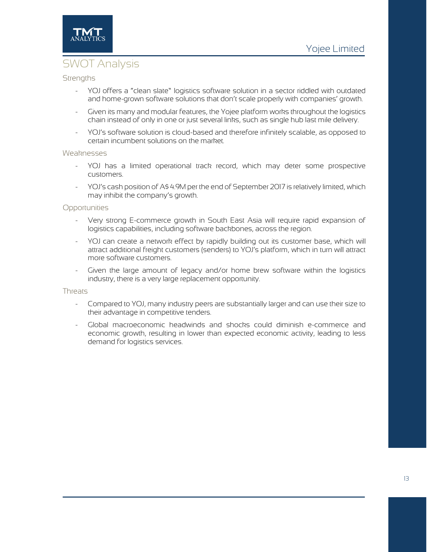

# SWOT Analysis

### **Strengths**

- YOJ offers a "clean slate" logistics software solution in a sector riddled with outdated and home-grown software solutions that don't scale properly with companies' growth.
- Given its many and modular features, the Yojee platform works throughout the logistics chain instead of only in one or just several links, such as single hub last mile delivery.
- YOJ's software solution is cloud-based and therefore infinitely scalable, as opposed to certain incumbent solutions on the market.

#### Weaknesses

- YOJ has a limited operational track record, which may deter some prospective customers.
- YOJ's cash position of A\$ 4.9M per the end of September 2017 is relatively limited, which may inhibit the company's growth.

#### **Opportunities**

- Very strong E-commerce growth in South East Asia will require rapid expansion of logistics capabilities, including software backbones, across the region.
- YOJ can create a network effect by rapidly building out its customer base, which will attract additional freight customers (senders) to YOJ's platform, which in turn will attract more software customers.
- Given the large amount of legacy and/or home brew software within the logistics industry, there is a very large replacement opportunity.

### **Threats**

- Compared to YOJ, many industry peers are substantially larger and can use their size to their advantage in competitive tenders.
- Global macroeconomic headwinds and shocks could diminish e-commerce and economic growth, resulting in lower than expected economic activity, leading to less demand for logistics services.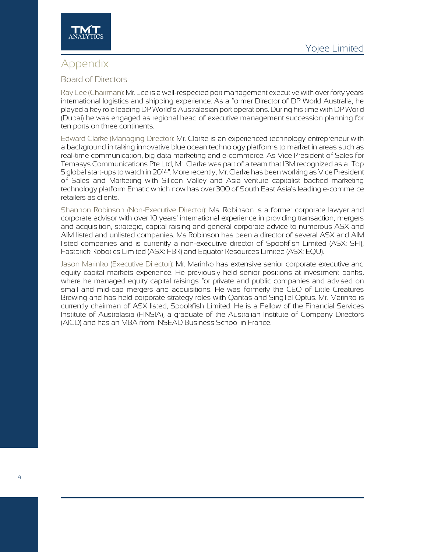



### Appendix

### Board of Directors

Ray Lee (Chairman): Mr. Lee is a well-respected port management executive with over forty years international logistics and shipping experience. As a former Director of DP World Australia, he played a key role leading DP World's Australasian port operations. During his time with DP World (Dubai) he was engaged as regional head of executive management succession planning for ten ports on three continents.

Edward Clarke (Managing Director): Mr. Clarke is an experienced technology entrepreneur with a background in taking innovative blue ocean technology platforms to market in areas such as real-time communication, big data marketing and e-commerce. As Vice President of Sales for Temasys Communications Pte Ltd, Mr. Clarke was part of a team that IBM recognized as a "Top 5 global start-ups to watch in 2014". More recently, Mr.Clarke has been working as Vice President of Sales and Marketing with Silicon Valley and Asia venture capitalist backed marketing technology platform Ematic which now has over 300 of South East Asia's leading e-commerce retailers as clients.

Shannon Robinson (Non-Executive Director): Ms. Robinson is a former corporate lawyer and corporate advisor with over 10 years' international experience in providing transaction, mergers and acquisition, strategic, capital raising and general corporate advice to numerous ASX and AIM listed and unlisted companies. Ms Robinson has been a director of several ASX and AIM listed companies and is currently a non-executive director of Spookfish Limited (ASX: SFI), Fastbrick Robotics Limited (ASX: FBR) and Equator Resources Limited (ASX: EQU).

Jason Marinko (Executive Director): Mr. Marinko has extensive senior corporate executive and equity capital markets experience. He previously held senior positions at investment banks, where he managed equity capital raisings for private and public companies and advised on small and mid-cap mergers and acquisitions. He was formerly the CEO of Little Creatures Brewing and has held corporate strategy roles with Qantas and SingTel Optus. Mr. Marinko is currently chairman of ASX listed, Spookfish Limited. He is a Fellow of the Financial Services Institute of Australasia (FINSIA), a graduate of the Australian Institute of Company Directors (AICD) and has an MBA from INSEAD Business School in France.